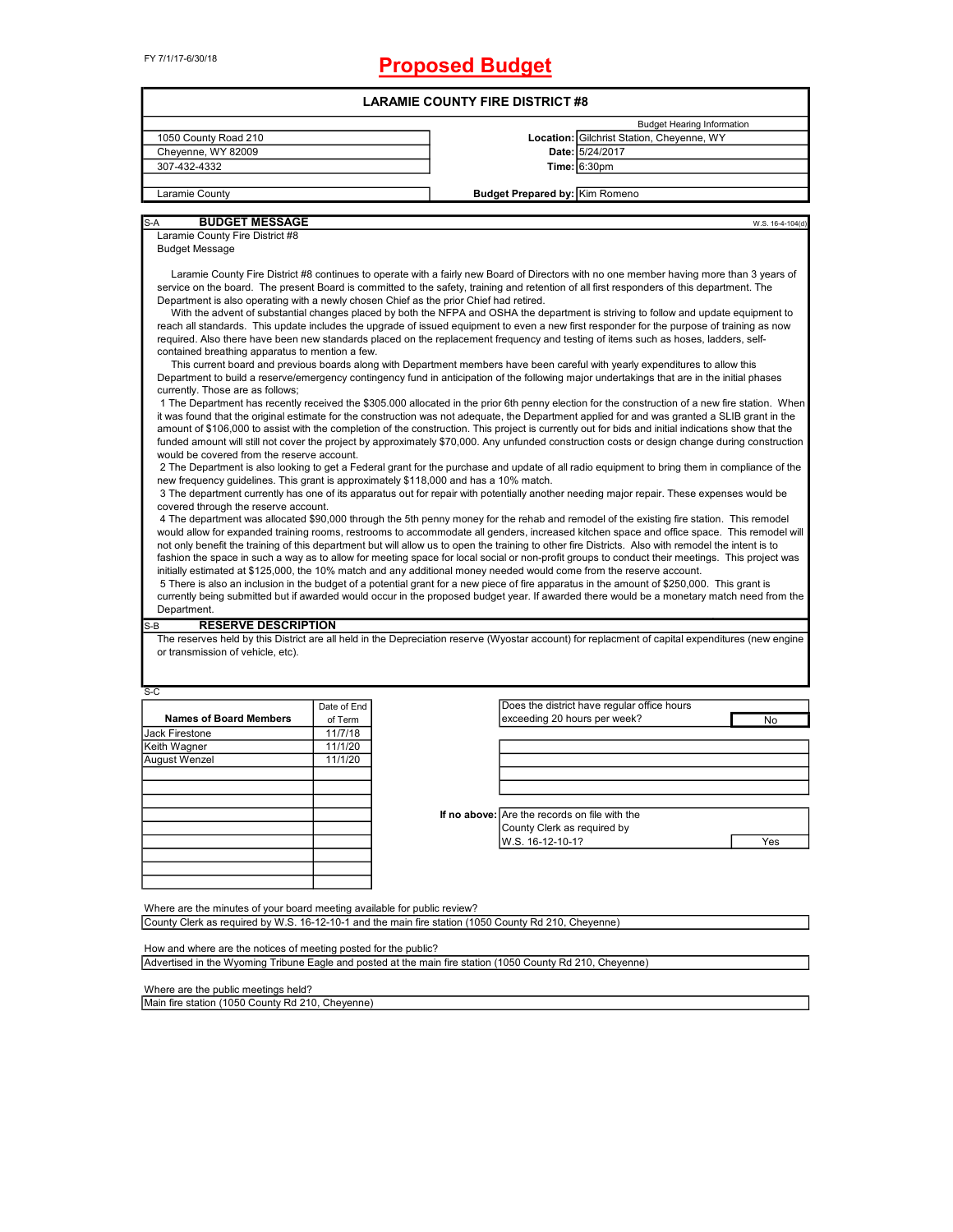# **Proposed Budget**

|                                                                                                                                                                                                                                                                                                                                                                                                                                                                                                                                                                                                                                                                                                                                                                                                                                                                                                                                                                                                                                                                                                                                                                                                                                                                                                                                                                                                                                                                                                                                                                                                                                                                                                                                                                                                                                                                                                                                                                                                                                                                                                                                                                                                                                                                               |             | <b>LARAMIE COUNTY FIRE DISTRICT #8</b>        |                                                                                                                                          |                  |
|-------------------------------------------------------------------------------------------------------------------------------------------------------------------------------------------------------------------------------------------------------------------------------------------------------------------------------------------------------------------------------------------------------------------------------------------------------------------------------------------------------------------------------------------------------------------------------------------------------------------------------------------------------------------------------------------------------------------------------------------------------------------------------------------------------------------------------------------------------------------------------------------------------------------------------------------------------------------------------------------------------------------------------------------------------------------------------------------------------------------------------------------------------------------------------------------------------------------------------------------------------------------------------------------------------------------------------------------------------------------------------------------------------------------------------------------------------------------------------------------------------------------------------------------------------------------------------------------------------------------------------------------------------------------------------------------------------------------------------------------------------------------------------------------------------------------------------------------------------------------------------------------------------------------------------------------------------------------------------------------------------------------------------------------------------------------------------------------------------------------------------------------------------------------------------------------------------------------------------------------------------------------------------|-------------|-----------------------------------------------|------------------------------------------------------------------------------------------------------------------------------------------|------------------|
|                                                                                                                                                                                                                                                                                                                                                                                                                                                                                                                                                                                                                                                                                                                                                                                                                                                                                                                                                                                                                                                                                                                                                                                                                                                                                                                                                                                                                                                                                                                                                                                                                                                                                                                                                                                                                                                                                                                                                                                                                                                                                                                                                                                                                                                                               |             |                                               | <b>Budget Hearing Information</b>                                                                                                        |                  |
| 1050 County Road 210                                                                                                                                                                                                                                                                                                                                                                                                                                                                                                                                                                                                                                                                                                                                                                                                                                                                                                                                                                                                                                                                                                                                                                                                                                                                                                                                                                                                                                                                                                                                                                                                                                                                                                                                                                                                                                                                                                                                                                                                                                                                                                                                                                                                                                                          |             |                                               | Location: Gilchrist Station, Cheyenne, WY                                                                                                |                  |
| Cheyenne, WY 82009                                                                                                                                                                                                                                                                                                                                                                                                                                                                                                                                                                                                                                                                                                                                                                                                                                                                                                                                                                                                                                                                                                                                                                                                                                                                                                                                                                                                                                                                                                                                                                                                                                                                                                                                                                                                                                                                                                                                                                                                                                                                                                                                                                                                                                                            |             |                                               | Date: 5/24/2017                                                                                                                          |                  |
| 307-432-4332                                                                                                                                                                                                                                                                                                                                                                                                                                                                                                                                                                                                                                                                                                                                                                                                                                                                                                                                                                                                                                                                                                                                                                                                                                                                                                                                                                                                                                                                                                                                                                                                                                                                                                                                                                                                                                                                                                                                                                                                                                                                                                                                                                                                                                                                  |             |                                               | <b>Time: 6:30pm</b>                                                                                                                      |                  |
| Laramie County                                                                                                                                                                                                                                                                                                                                                                                                                                                                                                                                                                                                                                                                                                                                                                                                                                                                                                                                                                                                                                                                                                                                                                                                                                                                                                                                                                                                                                                                                                                                                                                                                                                                                                                                                                                                                                                                                                                                                                                                                                                                                                                                                                                                                                                                |             | <b>Budget Prepared by: Kim Romeno</b>         |                                                                                                                                          |                  |
|                                                                                                                                                                                                                                                                                                                                                                                                                                                                                                                                                                                                                                                                                                                                                                                                                                                                                                                                                                                                                                                                                                                                                                                                                                                                                                                                                                                                                                                                                                                                                                                                                                                                                                                                                                                                                                                                                                                                                                                                                                                                                                                                                                                                                                                                               |             |                                               |                                                                                                                                          |                  |
| <b>BUDGET MESSAGE</b><br>S-A                                                                                                                                                                                                                                                                                                                                                                                                                                                                                                                                                                                                                                                                                                                                                                                                                                                                                                                                                                                                                                                                                                                                                                                                                                                                                                                                                                                                                                                                                                                                                                                                                                                                                                                                                                                                                                                                                                                                                                                                                                                                                                                                                                                                                                                  |             |                                               |                                                                                                                                          | W.S. 16-4-104(d) |
| Laramie County Fire District #8                                                                                                                                                                                                                                                                                                                                                                                                                                                                                                                                                                                                                                                                                                                                                                                                                                                                                                                                                                                                                                                                                                                                                                                                                                                                                                                                                                                                                                                                                                                                                                                                                                                                                                                                                                                                                                                                                                                                                                                                                                                                                                                                                                                                                                               |             |                                               |                                                                                                                                          |                  |
| <b>Budget Message</b>                                                                                                                                                                                                                                                                                                                                                                                                                                                                                                                                                                                                                                                                                                                                                                                                                                                                                                                                                                                                                                                                                                                                                                                                                                                                                                                                                                                                                                                                                                                                                                                                                                                                                                                                                                                                                                                                                                                                                                                                                                                                                                                                                                                                                                                         |             |                                               |                                                                                                                                          |                  |
| Laramie County Fire District #8 continues to operate with a fairly new Board of Directors with no one member having more than 3 years of<br>service on the board. The present Board is committed to the safety, training and retention of all first responders of this department. The<br>Department is also operating with a newly chosen Chief as the prior Chief had retired.<br>With the advent of substantial changes placed by both the NFPA and OSHA the department is striving to follow and update equipment to<br>reach all standards. This update includes the upgrade of issued equipment to even a new first responder for the purpose of training as now<br>required. Also there have been new standards placed on the replacement frequency and testing of items such as hoses, ladders, self-<br>contained breathing apparatus to mention a few.<br>This current board and previous boards along with Department members have been careful with yearly expenditures to allow this<br>Department to build a reserve/emergency contingency fund in anticipation of the following major undertakings that are in the initial phases<br>currently. Those are as follows;<br>1 The Department has recently received the \$305.000 allocated in the prior 6th penny election for the construction of a new fire station. When<br>it was found that the original estimate for the construction was not adequate, the Department applied for and was granted a SLIB grant in the<br>amount of \$106,000 to assist with the completion of the construction. This project is currently out for bids and initial indications show that the<br>funded amount will still not cover the project by approximately \$70,000. Any unfunded construction costs or design change during construction<br>would be covered from the reserve account.<br>2 The Department is also looking to get a Federal grant for the purchase and update of all radio equipment to bring them in compliance of the<br>new frequency guidelines. This grant is approximately \$118,000 and has a 10% match.<br>3 The department currently has one of its apparatus out for repair with potentially another needing major repair. These expenses would be<br>covered through the reserve account. |             |                                               |                                                                                                                                          |                  |
| would allow for expanded training rooms, restrooms to accommodate all genders, increased kitchen space and office space. This remodel will<br>not only benefit the training of this department but will allow us to open the training to other fire Districts. Also with remodel the intent is to<br>fashion the space in such a way as to allow for meeting space for local social or non-profit groups to conduct their meetings. This project was<br>initially estimated at \$125,000, the 10% match and any additional money needed would come from the reserve account.<br>5 There is also an inclusion in the budget of a potential grant for a new piece of fire apparatus in the amount of \$250,000. This grant is<br>currently being submitted but if awarded would occur in the proposed budget year. If awarded there would be a monetary match need from the                                                                                                                                                                                                                                                                                                                                                                                                                                                                                                                                                                                                                                                                                                                                                                                                                                                                                                                                                                                                                                                                                                                                                                                                                                                                                                                                                                                                     |             |                                               | 4 The department was allocated \$90,000 through the 5th penny money for the rehab and remodel of the existing fire station. This remodel |                  |
| Department.                                                                                                                                                                                                                                                                                                                                                                                                                                                                                                                                                                                                                                                                                                                                                                                                                                                                                                                                                                                                                                                                                                                                                                                                                                                                                                                                                                                                                                                                                                                                                                                                                                                                                                                                                                                                                                                                                                                                                                                                                                                                                                                                                                                                                                                                   |             |                                               |                                                                                                                                          |                  |
| <b>RESERVE DESCRIPTION</b><br>$S-B$<br>The reserves held by this District are all held in the Depreciation reserve (Wyostar account) for replacment of capital expenditures (new engine<br>or transmission of vehicle, etc).                                                                                                                                                                                                                                                                                                                                                                                                                                                                                                                                                                                                                                                                                                                                                                                                                                                                                                                                                                                                                                                                                                                                                                                                                                                                                                                                                                                                                                                                                                                                                                                                                                                                                                                                                                                                                                                                                                                                                                                                                                                  |             |                                               |                                                                                                                                          |                  |
|                                                                                                                                                                                                                                                                                                                                                                                                                                                                                                                                                                                                                                                                                                                                                                                                                                                                                                                                                                                                                                                                                                                                                                                                                                                                                                                                                                                                                                                                                                                                                                                                                                                                                                                                                                                                                                                                                                                                                                                                                                                                                                                                                                                                                                                                               |             |                                               |                                                                                                                                          |                  |
|                                                                                                                                                                                                                                                                                                                                                                                                                                                                                                                                                                                                                                                                                                                                                                                                                                                                                                                                                                                                                                                                                                                                                                                                                                                                                                                                                                                                                                                                                                                                                                                                                                                                                                                                                                                                                                                                                                                                                                                                                                                                                                                                                                                                                                                                               | Date of End |                                               | Does the district have regular office hours                                                                                              |                  |
| <b>Names of Board Members</b>                                                                                                                                                                                                                                                                                                                                                                                                                                                                                                                                                                                                                                                                                                                                                                                                                                                                                                                                                                                                                                                                                                                                                                                                                                                                                                                                                                                                                                                                                                                                                                                                                                                                                                                                                                                                                                                                                                                                                                                                                                                                                                                                                                                                                                                 | of Term     | exceeding 20 hours per week?                  |                                                                                                                                          | No               |
|                                                                                                                                                                                                                                                                                                                                                                                                                                                                                                                                                                                                                                                                                                                                                                                                                                                                                                                                                                                                                                                                                                                                                                                                                                                                                                                                                                                                                                                                                                                                                                                                                                                                                                                                                                                                                                                                                                                                                                                                                                                                                                                                                                                                                                                                               | 11/7/18     |                                               |                                                                                                                                          |                  |
|                                                                                                                                                                                                                                                                                                                                                                                                                                                                                                                                                                                                                                                                                                                                                                                                                                                                                                                                                                                                                                                                                                                                                                                                                                                                                                                                                                                                                                                                                                                                                                                                                                                                                                                                                                                                                                                                                                                                                                                                                                                                                                                                                                                                                                                                               | 11/1/20     |                                               |                                                                                                                                          |                  |
|                                                                                                                                                                                                                                                                                                                                                                                                                                                                                                                                                                                                                                                                                                                                                                                                                                                                                                                                                                                                                                                                                                                                                                                                                                                                                                                                                                                                                                                                                                                                                                                                                                                                                                                                                                                                                                                                                                                                                                                                                                                                                                                                                                                                                                                                               | 11/1/20     |                                               |                                                                                                                                          |                  |
|                                                                                                                                                                                                                                                                                                                                                                                                                                                                                                                                                                                                                                                                                                                                                                                                                                                                                                                                                                                                                                                                                                                                                                                                                                                                                                                                                                                                                                                                                                                                                                                                                                                                                                                                                                                                                                                                                                                                                                                                                                                                                                                                                                                                                                                                               |             |                                               |                                                                                                                                          |                  |
|                                                                                                                                                                                                                                                                                                                                                                                                                                                                                                                                                                                                                                                                                                                                                                                                                                                                                                                                                                                                                                                                                                                                                                                                                                                                                                                                                                                                                                                                                                                                                                                                                                                                                                                                                                                                                                                                                                                                                                                                                                                                                                                                                                                                                                                                               |             |                                               |                                                                                                                                          |                  |
|                                                                                                                                                                                                                                                                                                                                                                                                                                                                                                                                                                                                                                                                                                                                                                                                                                                                                                                                                                                                                                                                                                                                                                                                                                                                                                                                                                                                                                                                                                                                                                                                                                                                                                                                                                                                                                                                                                                                                                                                                                                                                                                                                                                                                                                                               |             |                                               |                                                                                                                                          |                  |
|                                                                                                                                                                                                                                                                                                                                                                                                                                                                                                                                                                                                                                                                                                                                                                                                                                                                                                                                                                                                                                                                                                                                                                                                                                                                                                                                                                                                                                                                                                                                                                                                                                                                                                                                                                                                                                                                                                                                                                                                                                                                                                                                                                                                                                                                               |             | If no above: Are the records on file with the |                                                                                                                                          |                  |
|                                                                                                                                                                                                                                                                                                                                                                                                                                                                                                                                                                                                                                                                                                                                                                                                                                                                                                                                                                                                                                                                                                                                                                                                                                                                                                                                                                                                                                                                                                                                                                                                                                                                                                                                                                                                                                                                                                                                                                                                                                                                                                                                                                                                                                                                               |             | County Clerk as required by                   |                                                                                                                                          |                  |
|                                                                                                                                                                                                                                                                                                                                                                                                                                                                                                                                                                                                                                                                                                                                                                                                                                                                                                                                                                                                                                                                                                                                                                                                                                                                                                                                                                                                                                                                                                                                                                                                                                                                                                                                                                                                                                                                                                                                                                                                                                                                                                                                                                                                                                                                               |             | W.S. 16-12-10-1?                              |                                                                                                                                          | Yes              |
| S-C<br>Jack Firestone<br>Keith Wagner<br>August Wenzel                                                                                                                                                                                                                                                                                                                                                                                                                                                                                                                                                                                                                                                                                                                                                                                                                                                                                                                                                                                                                                                                                                                                                                                                                                                                                                                                                                                                                                                                                                                                                                                                                                                                                                                                                                                                                                                                                                                                                                                                                                                                                                                                                                                                                        |             |                                               |                                                                                                                                          |                  |
|                                                                                                                                                                                                                                                                                                                                                                                                                                                                                                                                                                                                                                                                                                                                                                                                                                                                                                                                                                                                                                                                                                                                                                                                                                                                                                                                                                                                                                                                                                                                                                                                                                                                                                                                                                                                                                                                                                                                                                                                                                                                                                                                                                                                                                                                               |             |                                               |                                                                                                                                          |                  |
|                                                                                                                                                                                                                                                                                                                                                                                                                                                                                                                                                                                                                                                                                                                                                                                                                                                                                                                                                                                                                                                                                                                                                                                                                                                                                                                                                                                                                                                                                                                                                                                                                                                                                                                                                                                                                                                                                                                                                                                                                                                                                                                                                                                                                                                                               |             |                                               |                                                                                                                                          |                  |
|                                                                                                                                                                                                                                                                                                                                                                                                                                                                                                                                                                                                                                                                                                                                                                                                                                                                                                                                                                                                                                                                                                                                                                                                                                                                                                                                                                                                                                                                                                                                                                                                                                                                                                                                                                                                                                                                                                                                                                                                                                                                                                                                                                                                                                                                               |             |                                               |                                                                                                                                          |                  |
| Where are the minutes of your board meeting available for public review?<br>County Clerk as required by W.S. 16-12-10-1 and the main fire station (1050 County Rd 210, Cheyenne)                                                                                                                                                                                                                                                                                                                                                                                                                                                                                                                                                                                                                                                                                                                                                                                                                                                                                                                                                                                                                                                                                                                                                                                                                                                                                                                                                                                                                                                                                                                                                                                                                                                                                                                                                                                                                                                                                                                                                                                                                                                                                              |             |                                               |                                                                                                                                          |                  |

Advertised in the Wyoming Tribune Eagle and posted at the main fire station (1050 County Rd 210, Cheyenne)

Where are the public meetings held?

Main fire station (1050 County Rd 210, Cheyenne)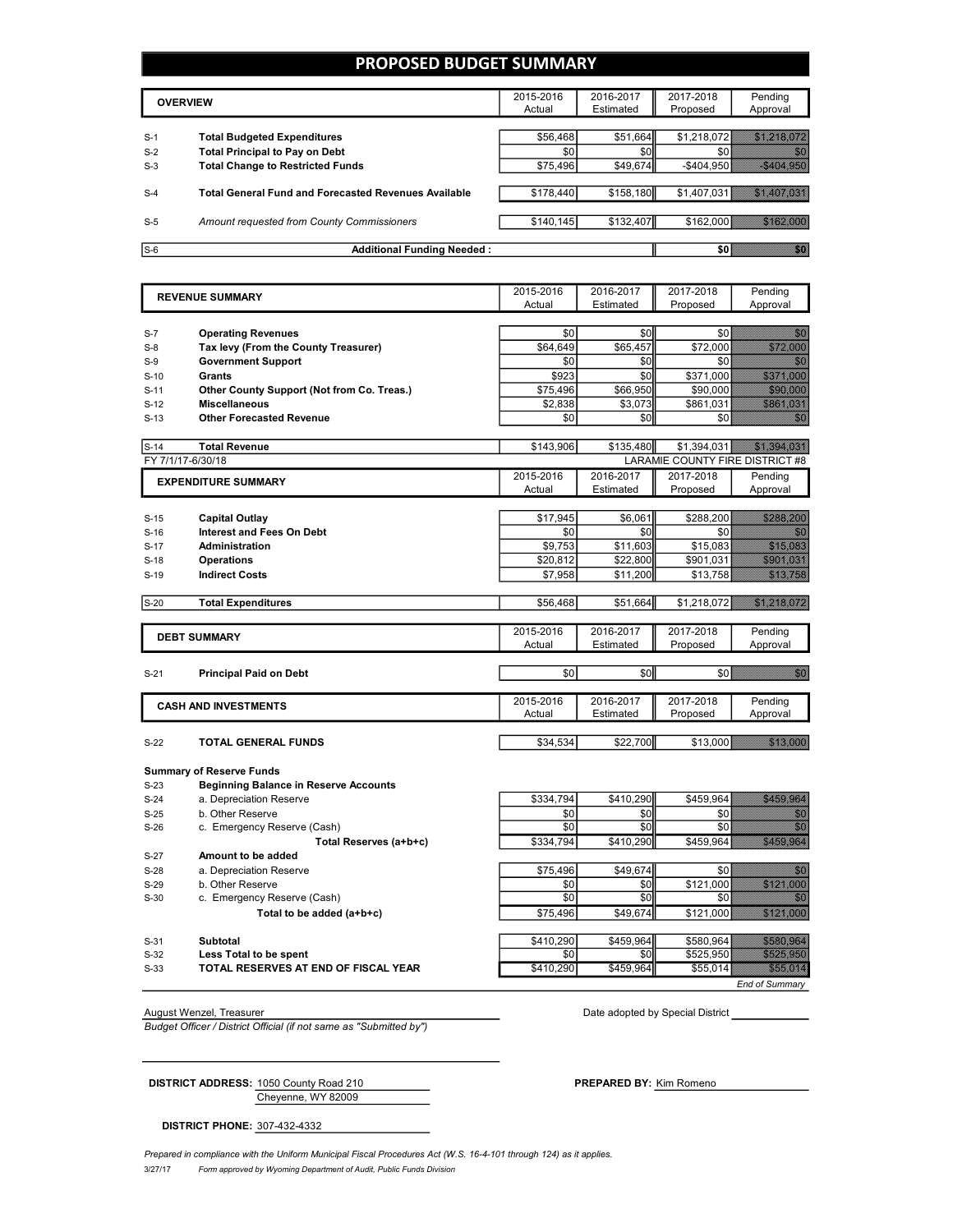## **PROPOSED BUDGET SUMMARY**

|       | <b>OVERVIEW</b>                                             | 2015-2016<br>Actual | 2016-2017<br>Estimated | 2017-2018<br>Proposed | Pending<br>Approval |
|-------|-------------------------------------------------------------|---------------------|------------------------|-----------------------|---------------------|
|       |                                                             |                     |                        |                       |                     |
| $S-1$ | <b>Total Budgeted Expenditures</b>                          | \$56,468            | \$51,664               | \$1.218.072           |                     |
| $S-2$ | <b>Total Principal to Pay on Debt</b>                       | \$0                 | \$0                    |                       |                     |
| $S-3$ | <b>Total Change to Restricted Funds</b>                     | \$75,496            | \$49,674               | $-$404.950$           |                     |
|       |                                                             |                     |                        |                       |                     |
| $S-4$ | <b>Total General Fund and Forecasted Revenues Available</b> | \$178,440           | \$158,180              | \$1,407,031           |                     |
|       |                                                             |                     |                        |                       |                     |
| $S-5$ | Amount requested from County Commissioners                  | \$140.145           | \$132,407              |                       |                     |
|       |                                                             |                     |                        |                       |                     |
| $S-6$ | <b>Additional Funding Needed:</b>                           |                     |                        |                       |                     |

2015-2016 Actual 2016-2017 Estimated 2017-2018 Proposed Pending Approval S-7 **Operating Revenues** \$0 \$0 \$0 \$0 S-8 **Tax levy (From the County Treasurer)** \$64,649 \$65,457 \$72,000 \$72,000 S-9 **Government Support** \$0 \$0 \$0 \$0 S-10 **Grants** \$923 \$0 \$371,000 \$371,000 S-11 **Other County Support (Not from Co. Treas.)** \$75,496 \$66,950 \$90,000 \$90,000 S-12 **Miscellaneous** \$2,838 \$3,073 \$861,031 \$ S-13 **Other Forecasted Revenue** \$0 \$0 \$0 \$0 S-14 **Total Revenue** \$143,906 \$135,480 \$1,394,031 \$1,394,031 FY 7/1/17-6/30/18 **LARAMIE COUNTY FIRE DISTRICT #8** 2015-2016 Actual 2016-2017 **Estimated** 2017-2018 Proposed Pending Approval S-15 **Capital Outlay** \$17,945 \$6,061 \$288,200 S-16 **Interest and Fees On Debt** \$0 \$0 \$0 \$0 S-17 **Administration by a set of the set of the set of the set of the set of the set of the set of the set of the set of the set of the set of the set of the set of the set of the set of the set of the set of the set of** S-18 **Operations** \$20,812 \$22,800 \$901,031 **S-19 Indirect Costs being the costs and the costs of the costs of the costs of the costs of the costs of the costs of the costs of the costs of the costs of the costs of the costs of the costs of the costs of the cost** S-20 **Total Expenditures** \$56,468 \$51,664 \$1,218,072 \$1,218,072 2015-2016 Actual 2016-2017 Estimated 2017-2018 Proposed Pending Approval S-21 **Principal Paid on Debt** \$0 \$0 \$0 \$0 2015-2016 Actual 2016-2017 Estimated 2017-2018 Proposed Pending Approval S-22 **TOTAL GENERAL FUNDS 13,000 \$34,534 \$34,534 \$22,700** \$13,000 \$13,000 **EXPENDITURE SUMMARY REVENUE SUMMARY DEBT SUMMARY CASH AND INVESTMENTS**

**Summary of Reserve Funds** S-23 **Beginning Balance in Reserve Accounts** S-24 a. Depreciation Reserve **1986 \$334,794** \$410,290 \$459,964 S-25 b. Other Reserve (Cash) and the control of the control of the control of the solution of the solution of the solution of the solution of the solution of the solution of the solution of the solution of the solution of S-26 c. Emergency Reserve (Cash) \$0 \$0 \$0 \$0 **Total Reserves (a+b+c) <b>\$334,794** \$410,290 \$459,964 \$459,964 \$459,964 \$459,964 \$459,964 \$459,964 \$459,964 \$459,964 \$459,964 \$459,964 \$459,964 \$459,964 \$459,964 \$459,964 \$459,964 \$459,964 \$459,964 \$459,964 \$459,964 \$459,96 S-27 **Amount to be added** S-28 a. Depreciation Reserve **by Contact 10 and 10 \$15,496** \$49,674 \$0 \$0 S-29 b. Other Reserve  $\overline{30}$   $\overline{30}$   $\overline{30}$   $\overline{30}$   $\overline{3121,000}$   $\overline{3121,000}$ S-30 c. Emergency Reserve (Cash)  $\begin{bmatrix} 5 & 30 & 30 \end{bmatrix}$   $\begin{bmatrix} 50 & 30 \end{bmatrix}$   $\begin{bmatrix} 50 & 30 \end{bmatrix}$   $\begin{bmatrix} 50 & 30 \end{bmatrix}$ **Total to be added (a+b+c) <b>be be added** (a+b+c) **b c c c s 121,000 \$121,000 \$121,000 \$121,000 \$121,000 \$121,000 \$121,000 \$121,000 \$121,000 \$121,000 \$121,000 \$121,000 \$121,000 \$121,0** S-31 **Subtotal** \$410,290 \$459,964 \$580,964 \$580,964 S-32 **Less Total to be spent** \$0 \$0 \$525,950 \$525,950 S-33 **TOTAL RESERVES AT END OF FISCAL YEAR** \$410,290 \$459,964 \$55,014 \$55,014

*Budget Officer / District Official (if not same as "Submitted by")*

August Wenzel, Treasurer **Date adopted by Special District** August Wenzel, Treasurer Date adopted by Special District

*End of Summary*

Cheyenne, WY 82009 **DISTRICT ADDRESS:** 1050 County Road 210 **PREPARED BY:** Kim Romeno

**DISTRICT PHONE:** 307-432-4332

Prepared in compliance with the Uniform Municipal Fiscal Procedures Act (W.S. 16-4-101 through 124) as it applies.

3/27/17 *Form approved by Wyoming Department of Audit, Public Funds Division*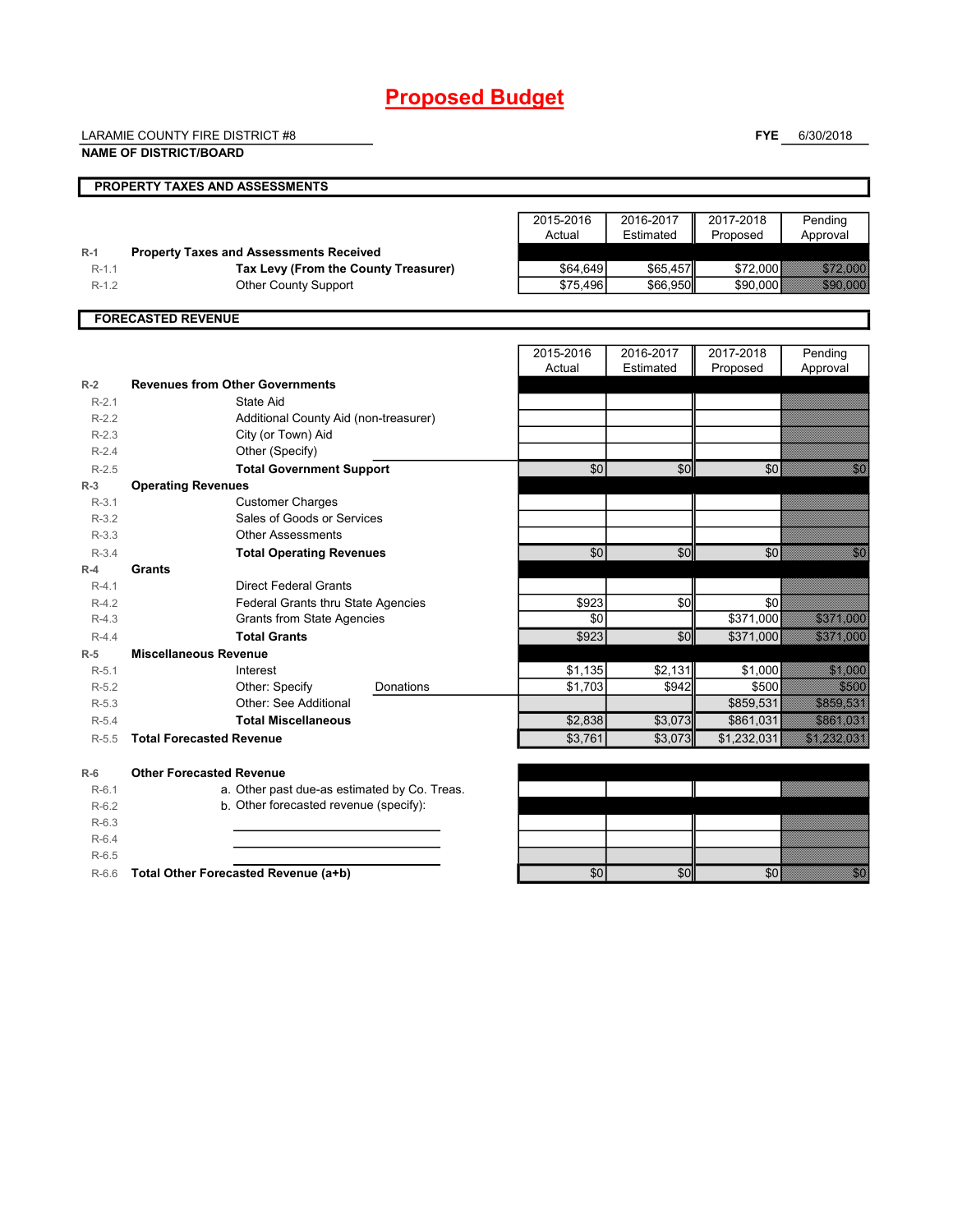# **Proposed Budget**

LARAMIE COUNTY FIRE DISTRICT #8

**FYE** 6/30/2018

|         | <b>NAME OF DISTRICT/BOARD</b>                  |                     |                        |                       |                                                                                                                 |
|---------|------------------------------------------------|---------------------|------------------------|-----------------------|-----------------------------------------------------------------------------------------------------------------|
|         | PROPERTY TAXES AND ASSESSMENTS                 |                     |                        |                       |                                                                                                                 |
|         |                                                | 2015-2016<br>Actual | 2016-2017<br>Estimated | 2017-2018<br>Proposed | Pending<br>Approval                                                                                             |
| $R-1$   | <b>Property Taxes and Assessments Received</b> |                     |                        |                       |                                                                                                                 |
| $R-1.1$ | Tax Levy (From the County Treasurer)           | \$64,649            | \$65,457               | \$72,000              |                                                                                                                 |
| $R-1.2$ | <b>Other County Support</b>                    | \$75,496            | \$66,950               | \$90.000              | 390.000                                                                                                         |
|         | <b>FORECASTED REVENUE</b>                      |                     |                        |                       |                                                                                                                 |
|         |                                                | 2015-2016<br>Actual | 2016-2017<br>Estimated | 2017-2018<br>Proposed | Pending<br>Approval                                                                                             |
| $R-2$   | <b>Revenues from Other Governments</b>         |                     |                        |                       |                                                                                                                 |
| $R-2.1$ | State Aid                                      |                     |                        |                       |                                                                                                                 |
| $R-2.2$ | Additional County Aid (non-treasurer)          |                     |                        |                       |                                                                                                                 |
| $R-2.3$ | City (or Town) Aid                             |                     |                        |                       |                                                                                                                 |
| $R-2.4$ | Other (Specify)                                |                     |                        |                       |                                                                                                                 |
| $R-2.5$ | <b>Total Government Support</b>                | \$0                 | \$0                    | \$0                   | n Sara                                                                                                          |
| $R-3$   | <b>Operating Revenues</b>                      |                     |                        |                       |                                                                                                                 |
| $R-3.1$ | <b>Customer Charges</b>                        |                     |                        |                       |                                                                                                                 |
| $R-3.2$ | Sales of Goods or Services                     |                     |                        |                       |                                                                                                                 |
| $R-3.3$ | <b>Other Assessments</b>                       |                     |                        |                       |                                                                                                                 |
| $R-3.4$ | <b>Total Operating Revenues</b>                | \$0                 | \$0                    | \$0                   | en<br>Bernard                                                                                                   |
| $R-4$   | Grants                                         |                     |                        |                       |                                                                                                                 |
| $R-4.1$ | <b>Direct Federal Grants</b>                   |                     |                        |                       |                                                                                                                 |
| $R-4.2$ | Federal Grants thru State Agencies             | \$923               | \$0                    | \$0                   |                                                                                                                 |
| $R-4.3$ | <b>Grants from State Agencies</b>              | \$0                 |                        | \$371,000             | 337 A                                                                                                           |
| $R-4.4$ | <b>Total Grants</b>                            | \$923               | \$0                    | \$371,000             | 337 A                                                                                                           |
| $R-5$   | <b>Miscellaneous Revenue</b>                   |                     |                        |                       |                                                                                                                 |
| $R-5.1$ | Interest                                       | \$1,135             | \$2,131                | \$1,000               | <b>Santa Cardinal Propinsi</b>                                                                                  |
| $R-5.2$ | Other: Specify<br>Donations                    | \$1,703             | \$942                  | \$500                 |                                                                                                                 |
| $R-5.3$ | Other: See Additional                          |                     |                        | \$859,531             | 3851.581                                                                                                        |
| $R-5.4$ | <b>Total Miscellaneous</b>                     | \$2,838             | \$3,073                | \$861,031             | <u> 5867. Ma</u>                                                                                                |
| $R-5.5$ | <b>Total Forecasted Revenue</b>                | \$3,761             | \$3,073                | \$1,232,031           | <u>SAMAN SE</u>                                                                                                 |
| $R-6$   | <b>Other Forecasted Revenue</b>                |                     |                        |                       |                                                                                                                 |
| $R-6.1$ | a. Other past due-as estimated by Co. Treas.   |                     |                        |                       | a katika matso ya kutoka mwaka wa 1979. Wakazi wa 1979 hadi wa 1979 hadi wa 1979 hadi wa 1979 hadi wa 1979 hadi |
| $R-6.2$ | b. Other forecasted revenue (specify):         |                     |                        |                       |                                                                                                                 |
| $R-6.3$ |                                                |                     |                        |                       |                                                                                                                 |
| $R-6.4$ |                                                |                     |                        |                       |                                                                                                                 |
| $R-6.5$ |                                                |                     |                        |                       |                                                                                                                 |
| $R-6.6$ | Total Other Forecasted Revenue (a+b)           | \$0                 | \$0                    | \$0                   | en<br>Bernard                                                                                                   |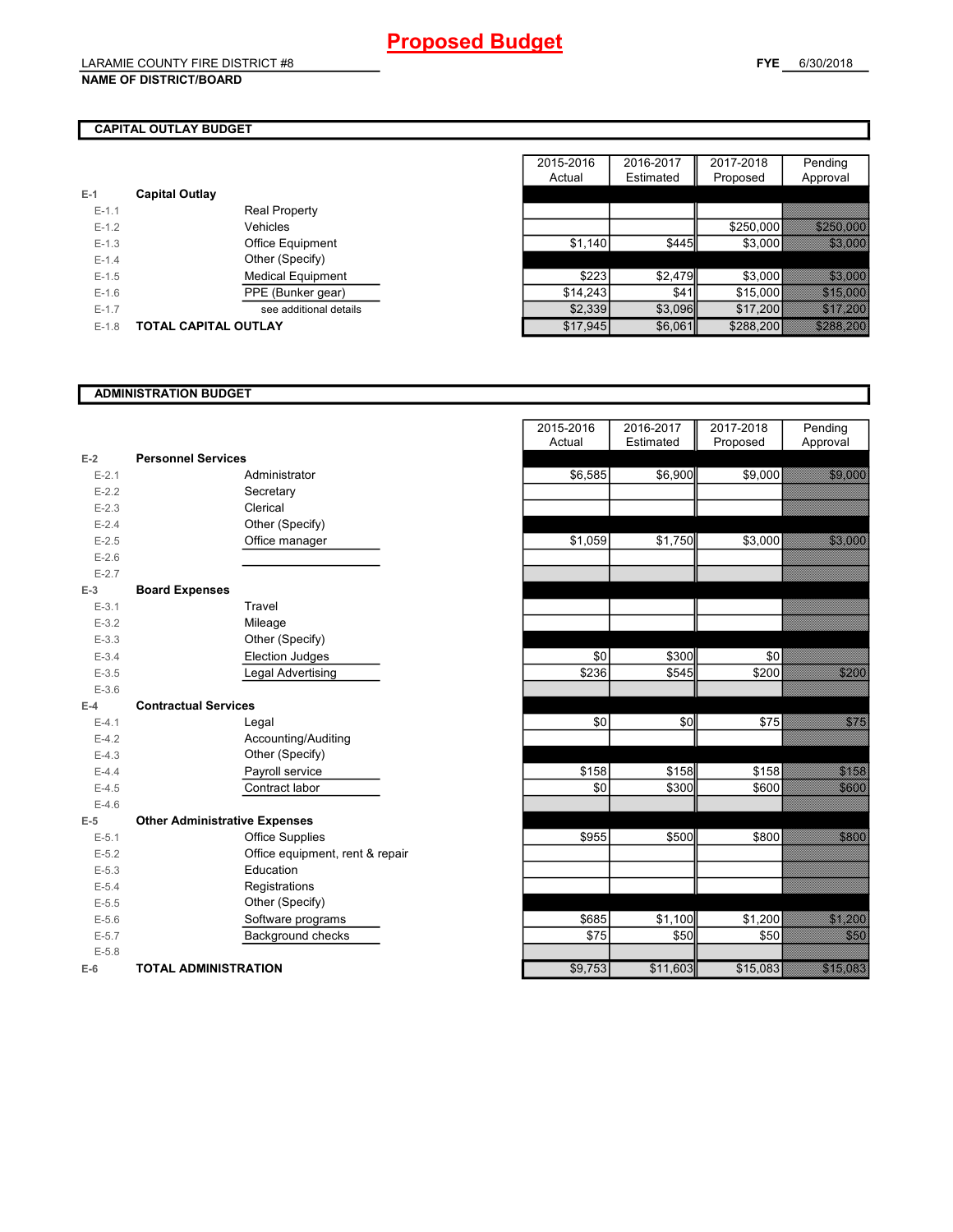### **NAME OF DISTRICT/BOARD**

# **CAPITAL OUTLAY BUDGET**

| $E-1$   | <b>Capital Outlay</b> |                          |
|---------|-----------------------|--------------------------|
| $F-11$  |                       | Real Property            |
| $F-12$  |                       | Vehicles                 |
| $F-1.3$ |                       | <b>Office Equipment</b>  |
| $F-14$  |                       | Other (Specify)          |
| $F-1.5$ |                       | <b>Medical Equipment</b> |
| $F-16$  |                       | PPE (Bunker gear)        |
| $F-17$  |                       | see additional details   |
| $F-1.8$ | TOTAL CAPITAL OUTLAY  |                          |
|         |                       |                          |

|         |                             |                          | 2015-2016 | 2016-2017 | 2017-2018 | Pending               |
|---------|-----------------------------|--------------------------|-----------|-----------|-----------|-----------------------|
|         |                             |                          | Actual    | Estimated | Proposed  | Approval              |
|         | <b>Capital Outlay</b>       |                          |           |           |           |                       |
| $E-1.1$ |                             | <b>Real Property</b>     |           |           |           |                       |
| $E-1.2$ |                             | Vehicles                 |           |           | \$250,000 | <u> Electronico</u>   |
| $E-1.3$ |                             | Office Equipment         | \$1,140   | \$445     | \$3,000   |                       |
| $E-1.4$ |                             | Other (Specify)          |           |           |           |                       |
| $E-1.5$ |                             | <b>Medical Equipment</b> | \$223     | \$2,479   | \$3.000   | <b>1989. STAR</b>     |
| $E-1.6$ |                             | PPE (Bunker gear)        | \$14.243  | \$41      | \$15,000  |                       |
| $E-1.7$ |                             | see additional details   | \$2,339   | \$3,096   | \$17,200  |                       |
| $E-1.8$ | <b>TOTAL CAPITAL OUTLAY</b> |                          | \$17,945  | \$6,061   | \$288,200 | <u> Karl Maria Sa</u> |

## **ADMINISTRATION BUDGET**

|           |                                      |                                 | , , , , , , , , , | $-0.00000$ | . . opoood |
|-----------|--------------------------------------|---------------------------------|-------------------|------------|------------|
| $E-2$     | <b>Personnel Services</b>            |                                 |                   |            |            |
| $E - 2.1$ |                                      | Administrator                   | \$6,585           | \$6,900    | \$9,000    |
| $E-2.2$   |                                      | Secretary                       |                   |            |            |
| $E-2.3$   |                                      | Clerical                        |                   |            |            |
| $E-2.4$   |                                      | Other (Specify)                 |                   |            |            |
| $E-2.5$   |                                      | Office manager                  | \$1,059           | \$1,750    | \$3,000    |
| $E-2.6$   |                                      |                                 |                   |            |            |
| $E - 2.7$ |                                      |                                 |                   |            |            |
| $E-3$     | <b>Board Expenses</b>                |                                 |                   |            |            |
| $E - 3.1$ |                                      | Travel                          |                   |            |            |
| $E - 3.2$ |                                      | Mileage                         |                   |            |            |
| $E-3.3$   |                                      | Other (Specify)                 |                   |            |            |
| $E - 3.4$ |                                      | <b>Election Judges</b>          | \$0               | \$300      | \$0        |
| $E - 3.5$ |                                      | Legal Advertising               | \$236             | \$545      | \$200      |
| $E - 3.6$ |                                      |                                 |                   |            |            |
| $E-4$     | <b>Contractual Services</b>          |                                 |                   |            |            |
| $E - 4.1$ |                                      | Legal                           | \$0               | \$0        | \$75       |
| $E-4.2$   |                                      | Accounting/Auditing             |                   |            |            |
| $E-4.3$   |                                      | Other (Specify)                 |                   |            |            |
| $E-4.4$   |                                      | Payroll service                 | \$158             | \$158      | \$158      |
| $E-4.5$   |                                      | Contract labor                  | \$0               | \$300      | \$600      |
| $E-4.6$   |                                      |                                 |                   |            |            |
| $E-5$     | <b>Other Administrative Expenses</b> |                                 |                   |            |            |
| $E - 5.1$ |                                      | <b>Office Supplies</b>          | \$955             | \$500      | \$800      |
| $E-5.2$   |                                      | Office equipment, rent & repair |                   |            |            |
| $E-5.3$   |                                      | Education                       |                   |            |            |
| $E - 5.4$ |                                      | Registrations                   |                   |            |            |
| $E-5.5$   |                                      | Other (Specify)                 |                   |            |            |
| $E-5.6$   |                                      | Software programs               | \$685             | \$1,100    | \$1,200    |
| $E-5.7$   |                                      | Background checks               | \$75              | \$50       | \$50       |
| $E - 5.8$ |                                      |                                 |                   |            |            |
| $E-6$     | <b>TOTAL ADMINISTRATION</b>          |                                 | \$9,753           | \$11,603   | \$15,083   |

|                          |                                      | 2015-2016 | 2016-2017 | 2017-2018 | Pending               |
|--------------------------|--------------------------------------|-----------|-----------|-----------|-----------------------|
|                          |                                      | Actual    | Estimated | Proposed  | Approval              |
| Ż                        | <b>Personnel Services</b>            |           |           |           |                       |
| $E - 2.1$                | Administrator                        | \$6,585   | \$6,900   | \$9,000   | 33.33                 |
| $E - 2.2$                | Secretary                            |           |           |           |                       |
| $E - 2.3$                | Clerical                             |           |           |           |                       |
| $E - 2.4$                | Other (Specify)                      |           |           |           |                       |
| $E-2.5$                  | Office manager                       | \$1,059   | \$1,750   | \$3,000   | 33.333                |
| $E - 2.6$                |                                      |           |           |           |                       |
| $E - 2.7$                |                                      |           |           |           |                       |
| $\overline{\phantom{a}}$ | <b>Board Expenses</b>                |           |           |           |                       |
| $E - 3.1$                | Travel                               |           |           |           |                       |
| $E - 3.2$                | Mileage                              |           |           |           |                       |
| $E-3.3$                  | Other (Specify)                      |           |           |           |                       |
| $E - 3.4$                | <b>Election Judges</b>               | \$0       | \$300     | \$0       |                       |
| $E - 3.5$                | Legal Advertising                    | 3236      | \$545     | \$200     | <u>e viss</u>         |
| $E - 3.6$                |                                      |           |           |           |                       |
| ļ.                       | <b>Contractual Services</b>          |           |           |           |                       |
| $E - 4.1$                | Legal                                | \$0       | \$0       | \$75      | <b>Kabupatén</b>      |
| $E - 4.2$                | Accounting/Auditing                  |           |           |           |                       |
| $E - 4.3$                | Other (Specify)                      |           |           |           |                       |
| $E - 4.4$                | Payroll service                      | \$158     | \$158     | \$158     | <b>Salari</b>         |
| $E-4.5$                  | Contract labor                       | \$0       | \$300     | \$600     | <b>SERIES</b>         |
| $E-4.6$                  |                                      |           |           |           |                       |
| 5                        | <b>Other Administrative Expenses</b> |           |           |           |                       |
| $E - 5.1$                | <b>Office Supplies</b>               | \$955     | \$500     | \$800     | 388                   |
| $E - 5.2$                | Office equipment, rent & repair      |           |           |           |                       |
| $E - 5.3$                | Education                            |           |           |           |                       |
| $E - 5.4$                | Registrations                        |           |           |           |                       |
| $E - 5.5$                | Other (Specify)                      |           |           |           |                       |
| $E - 5.6$                | Software programs                    | \$685     | \$1,100   | \$1,200   |                       |
| $E - 5.7$                | Background checks                    | \$75      | \$50      | \$50      | <u> Karatika</u>      |
| $E - 5.8$                |                                      |           |           |           |                       |
|                          | <b>TOTAL ADMINISTRATION</b>          | \$9,753   | \$11,603  | \$15,083  | <u> Sandari Sanda</u> |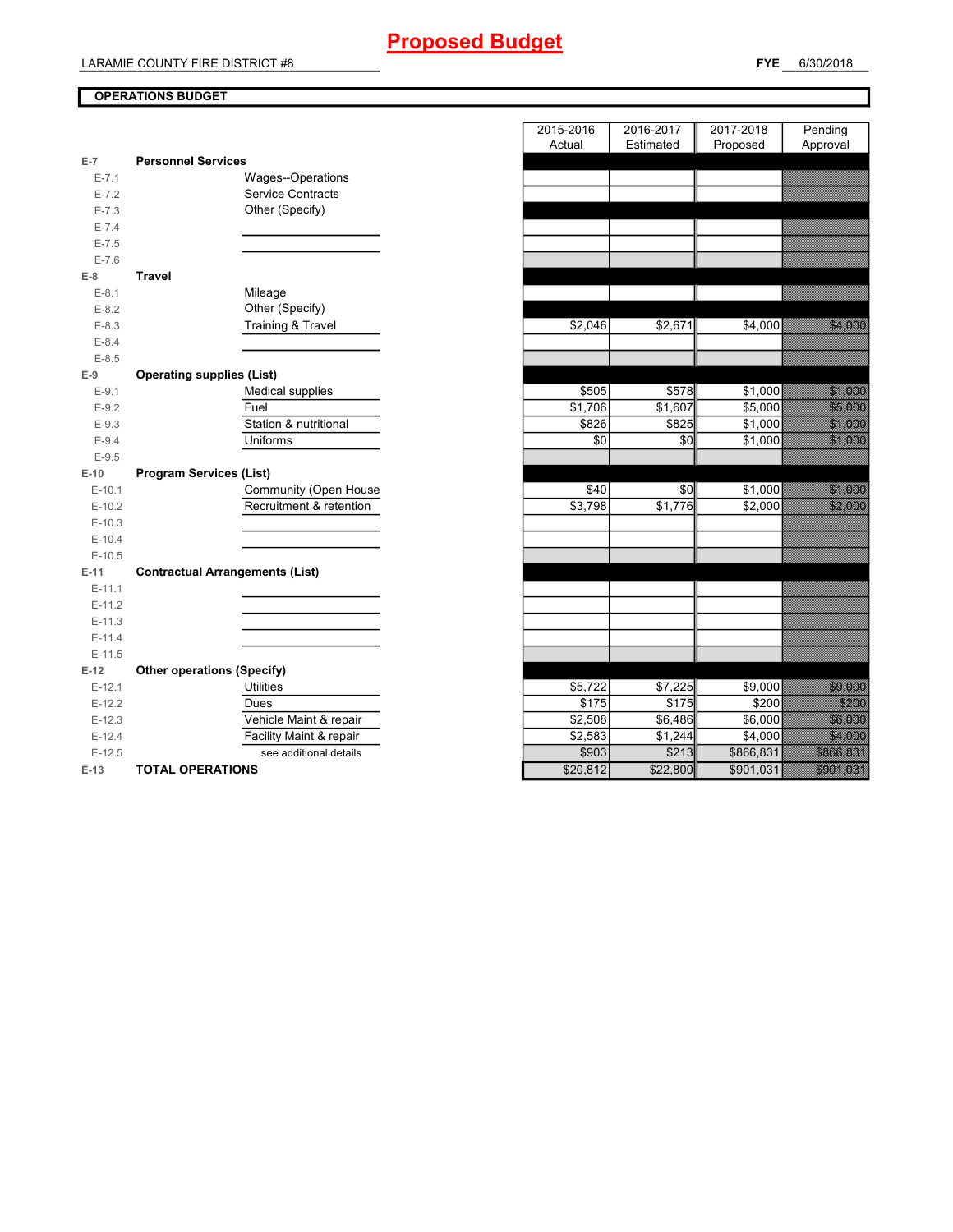# **OPERATIONS BUDGET**

| $E-7$     | <b>Personnel Services</b>              |          |          |           |                        |
|-----------|----------------------------------------|----------|----------|-----------|------------------------|
| $E - 7.1$ | Wages--Operations                      |          |          |           |                        |
| $E - 7.2$ | <b>Service Contracts</b>               |          |          |           |                        |
| $E - 7.3$ | Other (Specify)                        |          |          |           |                        |
| $E - 7.4$ |                                        |          |          |           |                        |
| $E - 7.5$ |                                        |          |          |           |                        |
| $E - 7.6$ |                                        |          |          |           |                        |
| $E-8$     | <b>Travel</b>                          |          |          |           |                        |
| $E-8.1$   | Mileage                                |          |          |           |                        |
| $E-8.2$   | Other (Specify)                        |          |          |           |                        |
| $E-8.3$   | <b>Training &amp; Travel</b>           | \$2,046  | \$2,671  | \$4,000   | <b>MARINE SESS</b>     |
| $E-8.4$   |                                        |          |          |           |                        |
| $E - 8.5$ |                                        |          |          |           |                        |
| $E-9$     | <b>Operating supplies (List)</b>       |          |          |           |                        |
| $E-9.1$   | Medical supplies                       | \$505    | \$578    | \$1,000   | <b>MARITIM</b>         |
| $E-9.2$   | Fuel                                   | \$1,706  | \$1,607  | \$5,000   | <b>Signal Control</b>  |
| $E-9.3$   | Station & nutritional                  | \$826    | \$825    | \$1,000   |                        |
| $E-9.4$   | Uniforms                               | \$0      | \$0      | \$1,000   |                        |
| $E-9.5$   |                                        |          |          |           |                        |
| $E-10$    | <b>Program Services (List)</b>         |          |          |           |                        |
| $E-10.1$  | Community (Open House                  | \$40     | \$0      | \$1,000   | <u> Hillson</u>        |
| $E-10.2$  | Recruitment & retention                | \$3,798  | \$1,776  | \$2,000   |                        |
| $E-10.3$  |                                        |          |          |           |                        |
| $E-10.4$  |                                        |          |          |           |                        |
| $E-10.5$  |                                        |          |          |           |                        |
| $E-11$    | <b>Contractual Arrangements (List)</b> |          |          |           |                        |
| $E-11.1$  |                                        |          |          |           |                        |
| $E-11.2$  |                                        |          |          |           |                        |
| $E-11.3$  |                                        |          |          |           |                        |
| $E-11.4$  |                                        |          |          |           |                        |
| $E-11.5$  |                                        |          |          |           |                        |
| $E-12$    | <b>Other operations (Specify)</b>      |          |          |           |                        |
| $E-12.1$  | <b>Utilities</b>                       | \$5,722  | \$7,225  | \$9,000   |                        |
| $E-12.2$  | Dues                                   | \$175    | \$175    | \$200     | 52288                  |
| $E-12.3$  | Vehicle Maint & repair                 | \$2,508  | \$6,486  | \$6,000   | <b>1999 - 1999</b>     |
| $E-12.4$  | Facility Maint & repair                | \$2,583  | \$1,244  | \$4,000   | 54.888                 |
| $E-12.5$  | see additional details                 | \$903    | \$213    | \$866,831 | <b>REGIONALIZACIÓN</b> |
| $E-13$    | <b>TOTAL OPERATIONS</b>                | \$20,812 | \$22,800 | \$901,031 |                        |

|                |                                        | 2015-2016 | 2016-2017 | 2017-2018 | Pending                                                                                                              |
|----------------|----------------------------------------|-----------|-----------|-----------|----------------------------------------------------------------------------------------------------------------------|
|                |                                        | Actual    | Estimated | Proposed  | Approval                                                                                                             |
| $\overline{7}$ | <b>Personnel Services</b>              |           |           |           |                                                                                                                      |
| $E - 7.1$      | Wages--Operations                      |           |           |           |                                                                                                                      |
| $E - 7.2$      | <b>Service Contracts</b>               |           |           |           |                                                                                                                      |
| $E - 7.3$      | Other (Specify)                        |           |           |           |                                                                                                                      |
| $E - 7.4$      |                                        |           |           |           |                                                                                                                      |
| $E - 7.5$      |                                        |           |           |           |                                                                                                                      |
| $E - 7.6$      |                                        |           |           |           |                                                                                                                      |
| 8              | <b>Travel</b>                          |           |           |           |                                                                                                                      |
| $E-8.1$        | Mileage                                |           |           |           |                                                                                                                      |
| $E-8.2$        | Other (Specify)                        |           |           |           |                                                                                                                      |
| $E - 8.3$      | <b>Training &amp; Travel</b>           | \$2,046   | \$2,671   | \$4,000   | <u> Karl Store Store Store Store Store Store Store Store Store Store Store Store Store Store Store Store Store S</u> |
| $E-8.4$        |                                        |           |           |           |                                                                                                                      |
| $E-8.5$        |                                        |           |           |           |                                                                                                                      |
| 9              | <b>Operating supplies (List)</b>       |           |           |           |                                                                                                                      |
| $E-9.1$        | <b>Medical supplies</b>                | \$505     | \$578     | \$1,000   |                                                                                                                      |
| $E-9.2$        | Fuel                                   | \$1,706   | \$1,607   | \$5,000   | <b>1989-1989</b>                                                                                                     |
| $E-9.3$        | Station & nutritional                  | \$826     | \$825     | \$1,000   |                                                                                                                      |
| $E-9.4$        | Uniforms                               | \$0       | \$0       | \$1,000   |                                                                                                                      |
| $E-9.5$        |                                        |           |           |           |                                                                                                                      |
| $-10$          | <b>Program Services (List)</b>         |           |           |           |                                                                                                                      |
| $E-10.1$       | <b>Community (Open House</b>           | \$40      | \$0       | \$1,000   |                                                                                                                      |
| $E-10.2$       | Recruitment & retention                | \$3,798   | \$1,776   | \$2,000   | <u> Salvesses</u>                                                                                                    |
| $E-10.3$       |                                        |           |           |           |                                                                                                                      |
| $E-10.4$       |                                        |           |           |           |                                                                                                                      |
| $E-10.5$       |                                        |           |           |           |                                                                                                                      |
| -11            | <b>Contractual Arrangements (List)</b> |           |           |           |                                                                                                                      |
| $E-11.1$       |                                        |           |           |           |                                                                                                                      |
| $E-11.2$       |                                        |           |           |           |                                                                                                                      |
| $E-11.3$       |                                        |           |           |           |                                                                                                                      |
| $E-11.4$       |                                        |           |           |           |                                                                                                                      |
| $E-11.5$       |                                        |           |           |           |                                                                                                                      |
| 12             | <b>Other operations (Specify)</b>      |           |           |           |                                                                                                                      |
| $E-12.1$       | <b>Utilities</b>                       | \$5,722   | \$7,225   | \$9,000   | <u> Salaman</u>                                                                                                      |
| $E-12.2$       | Dues                                   | \$175     | \$175     | \$200     | 822888                                                                                                               |
| $E-12.3$       | Vehicle Maint & repair                 | \$2,508   | \$6,486   | \$6,000   | 337338                                                                                                               |
| $E-12.4$       | Facility Maint & repair                | \$2,583   | \$1,244   | \$4,000   | <b>1999 - 1999 - 1999</b>                                                                                            |
| $E-12.5$       | see additional details                 | \$903     | \$213     | \$866,831 | <b>BARBARA</b>                                                                                                       |
| $13 -$         | TOTAL OPERATIONS                       | \$20.812  | $$22$ 800 | \$901031  | <u>televizi e la</u>                                                                                                 |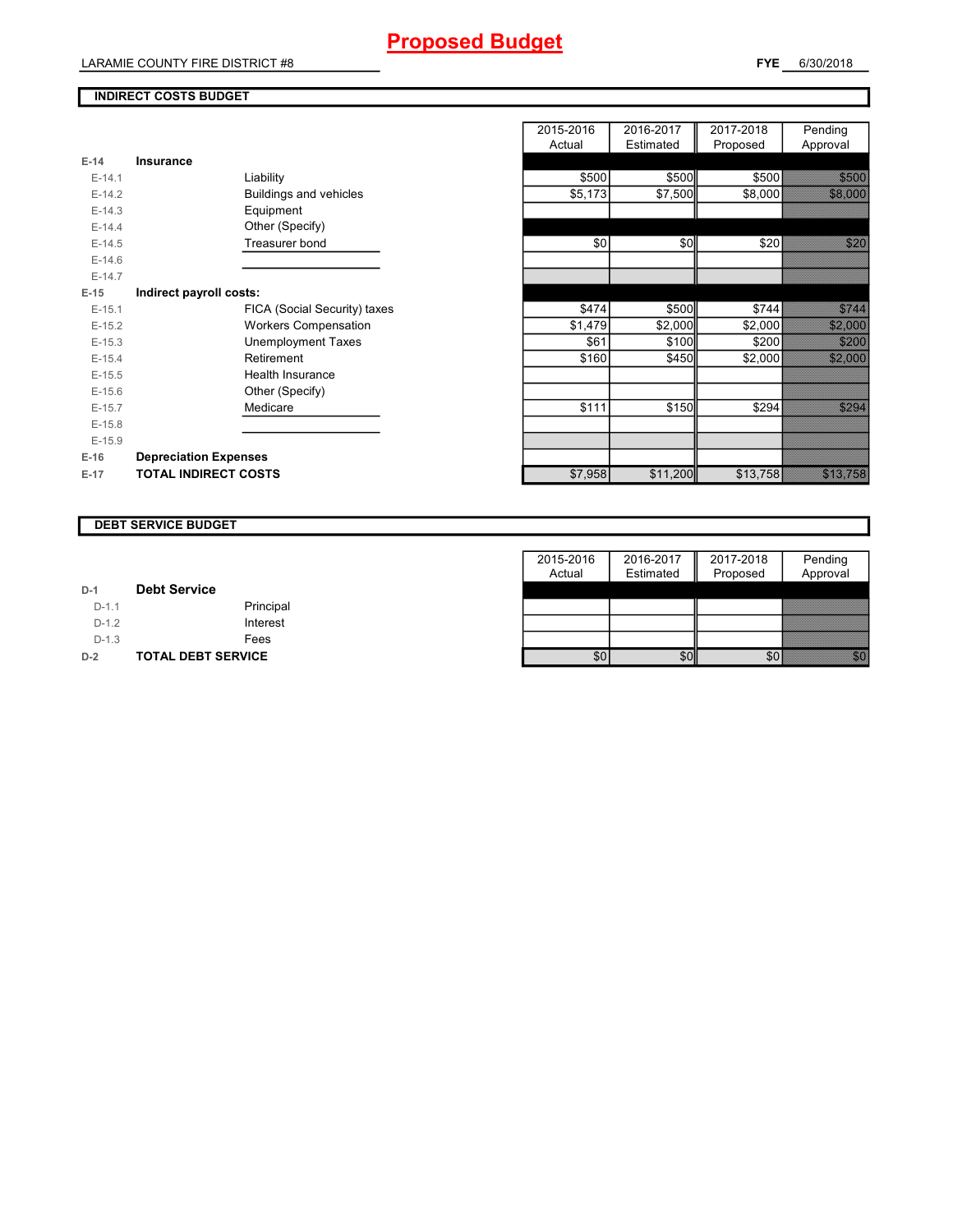LARAMIE COUNTY FIRE DISTRICT #8

# **INDIRECT COSTS BUDGET**

| $E-14$     | Insurance                     |
|------------|-------------------------------|
| $F-14.1$   | Liability                     |
| $F-142$    | <b>Buildings and vehicles</b> |
| $E-14.3$   | Equipment                     |
| $F-144$    | Other (Specify)               |
| $F-14.5$   | Treasurer bond                |
| $E-14.6$   |                               |
| $F-147$    |                               |
| E-15       | Indirect payroll costs:       |
| $E-15.1$   | FICA (Social Security) taxes  |
| $F-152$    | <b>Workers Compensation</b>   |
| $E-15.3$   | Unemployment Taxes            |
| $E-15.4$   | Retirement                    |
| $F-15.5$   | Health Insurance              |
| $E - 15.6$ | Other (Specify)               |
| $E-15.7$   | Medicare                      |
| $F-15.8$   |                               |
| $E-15.9$   |                               |
| $E-16$     | <b>Depreciation Expenses</b>  |
| $E-17$     | <b>TOTAL INDIRECT COSTS</b>   |

|          |                              | 2015-2016 | 2016-2017 | 2017-2018 | Pending                                                                                                                |
|----------|------------------------------|-----------|-----------|-----------|------------------------------------------------------------------------------------------------------------------------|
|          |                              | Actual    | Estimated | Proposed  | Approval                                                                                                               |
| $E-14$   | Insurance                    |           |           |           |                                                                                                                        |
| $E-14.1$ | Liability                    | \$500     | \$500     | \$500     | 3333                                                                                                                   |
| $E-14.2$ | Buildings and vehicles       | \$5,173   | \$7,500   | \$8,000   | <b>1989 - 1989 - 1989</b>                                                                                              |
| $E-14.3$ | Equipment                    |           |           |           |                                                                                                                        |
| $E-14.4$ | Other (Specify)              |           |           |           |                                                                                                                        |
| $E-14.5$ | Treasurer bond               | \$0       | \$0       | \$20      | <u> Kara</u>                                                                                                           |
| $E-14.6$ |                              |           |           |           |                                                                                                                        |
| $E-14.7$ |                              |           |           |           |                                                                                                                        |
| $E-15$   | Indirect payroll costs:      |           |           |           |                                                                                                                        |
| $E-15.1$ | FICA (Social Security) taxes | \$474     | \$500     | \$744     | <b>Siddle Britting</b>                                                                                                 |
| $E-15.2$ | <b>Workers Compensation</b>  | \$1,479   | \$2,000   | \$2,000   | <u> Sidney See</u>                                                                                                     |
| $E-15.3$ | <b>Unemployment Taxes</b>    | \$61      | \$100     | \$200     | <b>SILISSI</b>                                                                                                         |
| $E-15.4$ | Retirement                   | \$160     | \$450     | \$2,000   |                                                                                                                        |
| $E-15.5$ | Health Insurance             |           |           |           |                                                                                                                        |
| $E-15.6$ | Other (Specify)              |           |           |           |                                                                                                                        |
| $E-15.7$ | Medicare                     | \$111     | \$150     | \$294     | <u>tions and a strong for the strong strong for the strong strong strong in the strong strong strong in the strong</u> |
| $E-15.8$ |                              |           |           |           |                                                                                                                        |
| $E-15.9$ |                              |           |           |           |                                                                                                                        |
| E-16     | <b>Depreciation Expenses</b> |           |           |           |                                                                                                                        |
| E-17     | <b>TOTAL INDIRECT COSTS</b>  | \$7,958   | \$11,200  | \$13,758  |                                                                                                                        |
|          |                              |           |           |           |                                                                                                                        |

### **DEBT SERVICE BUDGET**

|         |                           | 2015-2016 | 2016-2017 | 2017-2018 | Pending    |
|---------|---------------------------|-----------|-----------|-----------|------------|
|         |                           | Actual    | Estimated | Proposed  | Approval   |
| $D-1$   | <b>Debt Service</b>       |           |           |           |            |
| $D-1.1$ | Principal                 |           |           |           |            |
| $D-1.2$ | Interest                  |           |           |           |            |
| $D-1.3$ | Fees                      |           |           |           |            |
| $D-2$   | <b>TOTAL DEBT SERVICE</b> | \$0       | \$0       | \$0       | en de la f |